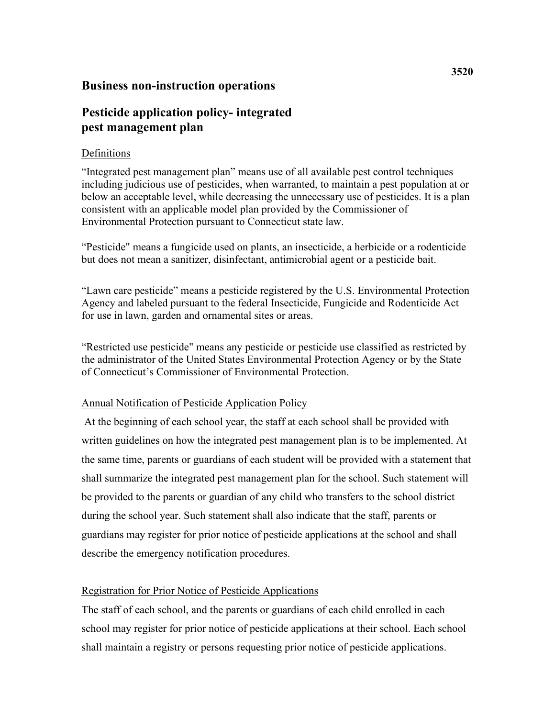## **Business non-instruction operations**

# **Pesticide application policy- integrated pest management plan**

## Definitions

 "Integrated pest management plan" means use of all available pest control techniques below an acceptable level, while decreasing the unnecessary use of pesticides. It is a plan including judicious use of pesticides, when warranted, to maintain a pest population at or consistent with an applicable model plan provided by the Commissioner of Environmental Protection pursuant to Connecticut state law.

"Pesticide" means a fungicide used on plants, an insecticide, a herbicide or a rodenticide but does not mean a sanitizer, disinfectant, antimicrobial agent or a pesticide bait.

"Lawn care pesticide" means a pesticide registered by the U.S. Environmental Protection Agency and labeled pursuant to the federal Insecticide, Fungicide and Rodenticide Act for use in lawn, garden and ornamental sites or areas.

"Restricted use pesticide" means any pesticide or pesticide use classified as restricted by the administrator of the United States Environmental Protection Agency or by the State of Connecticut's Commissioner of Environmental Protection.

## Annual Notification of Pesticide Application Policy

At the beginning of each school year, the staff at each school shall be provided with written guidelines on how the integrated pest management plan is to be implemented. At the same time, parents or guardians of each student will be provided with a statement that shall summarize the integrated pest management plan for the school. Such statement will be provided to the parents or guardian of any child who transfers to the school district during the school year. Such statement shall also indicate that the staff, parents or guardians may register for prior notice of pesticide applications at the school and shall describe the emergency notification procedures.

## Registration for Prior Notice of Pesticide Applications

The staff of each school, and the parents or guardians of each child enrolled in each school may register for prior notice of pesticide applications at their school. Each school shall maintain a registry or persons requesting prior notice of pesticide applications.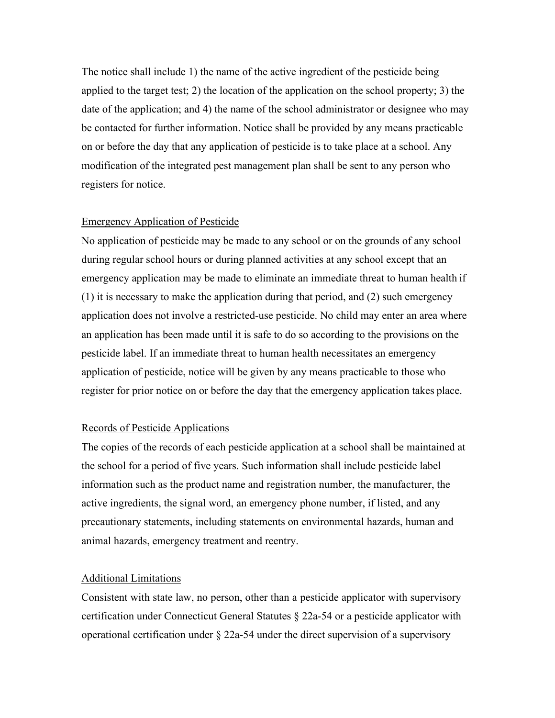The notice shall include 1) the name of the active ingredient of the pesticide being applied to the target test; 2) the location of the application on the school property; 3) the date of the application; and 4) the name of the school administrator or designee who may be contacted for further information. Notice shall be provided by any means practicable on or before the day that any application of pesticide is to take place at a school. Any modification of the integrated pest management plan shall be sent to any person who registers for notice.

#### Emergency Application of Pesticide

 emergency application may be made to eliminate an immediate threat to human health if pesticide label. If an immediate threat to human health necessitates an emergency register for prior notice on or before the day that the emergency application takes place. No application of pesticide may be made to any school or on the grounds of any school during regular school hours or during planned activities at any school except that an (1) it is necessary to make the application during that period, and (2) such emergency application does not involve a restricted-use pesticide. No child may enter an area where an application has been made until it is safe to do so according to the provisions on the application of pesticide, notice will be given by any means practicable to those who

#### Records of Pesticide Applications

The copies of the records of each pesticide application at a school shall be maintained at the school for a period of five years. Such information shall include pesticide label information such as the product name and registration number, the manufacturer, the active ingredients, the signal word, an emergency phone number, if listed, and any precautionary statements, including statements on environmental hazards, human and animal hazards, emergency treatment and reentry.

#### Additional Limitations

 certification under Connecticut General Statutes § 22a-54 or a pesticide applicator with Consistent with state law, no person, other than a pesticide applicator with supervisory operational certification under  $\S$  22a-54 under the direct supervision of a supervisory